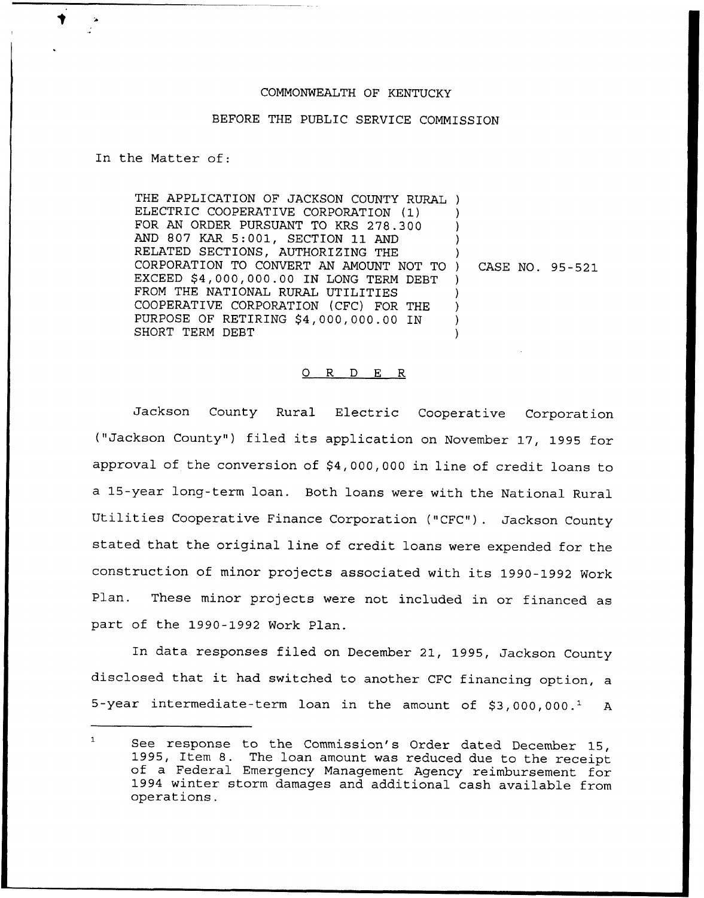## COMMONWEALTH OF KENTUCKY

## BEFORE THE PUBLIC SERVICE COMMISSION

In the Matter of:

THE APPLICATION OF JACKSON COUNTY RURAL ) ELECTRIC COOPERATIVE CORPORATION (1) FOR AN ORDER PURSUANT TO KRS 278.300 AND 807 KAR 5:001, SECTION 11 AND RELATED SECTIONS, AUTHORIZING THE CORPORATION TO CONVERT AN AMOUNT NOT TO EXCEED \$4,000,000.00 IN LONG TERM DEBT FROM THE NATIONAL RURAL UTILITIES COOPERATIVE CORPORATION (CFC) FOR THE PURPOSE OF RETIRING \$4,00Q,000.00 IN SHORT TERM DEBT ) ) ) ) ) ) ) ) )

) CASE NO. 95-521

## 0 R <sup>D</sup> E R

Jackson County Rural Electric Cooperative Corporation ("Jackson County") filed its application on November 17, 1995 for approval of the conversion of \$4,000,00Q in line of credit loans to a 15-year long-term loan. Both loans were with the National Rural Utilities Cooperative Finance Corporation ("CFC"). Jackson County stated that the original line of credit loans were expended for the construction of minor projects associated with its 1990-1992 Work Plan. These minor projects were not included in or financed as part of the 1990-1992 Work Plan.

In data responses filed on December 21, 1995, Jackson County disclosed that it had switched to another CFC financing option, <sup>a</sup> 5-year intermediate-term loan in the amount of  $$3,000,000.^1$  A

 $\mathbf{1}$ See response to the Commission's Order dated December 15, 1995, Item 8. The loan amount was reduced due to the receipt of <sup>a</sup> Federal Emergency Management Agency reimbursement for <sup>1994</sup> winter storm damages and additional cash available from operations.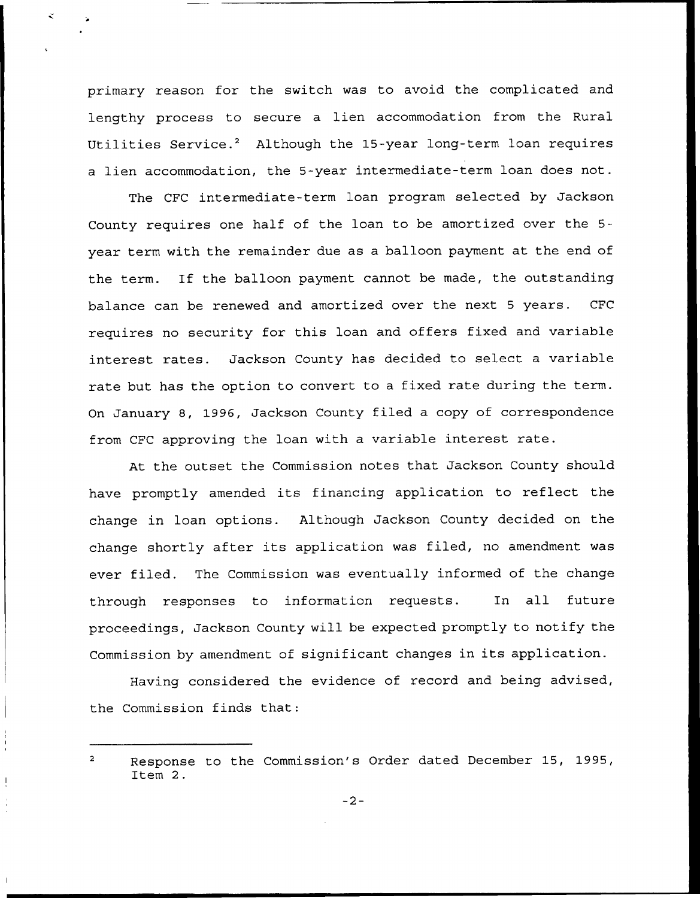primary reason for the switch was to avoid the complicated and lengthy process to secure a lien accommodation from the Rural Utilities Service.<sup>2</sup> Although the 15-year long-term loan requires a lien accommodation, the 5-year intermediate-term loan does not.

The CFC intermediate-term loan program selected by Jackson County requires one half of the loan to be amortized over the 5 year term with the remainder due as a balloon payment at the end of the term. If the balloon payment cannot be made, the outstanding balance can be renewed and amortized over the next <sup>5</sup> years. CFC requires no security for this loan and offers fixed and variable interest rates. Jackson County has decided to select a variable rate but has the option to convert to a fixed rate during the term. On January 8, 1996, Jackson County filed a copy of correspondence from CFC approving the loan with a variable interest rate.

At the outset the Commission notes that Jackson County should have promptly amended its financing application to reflect the change in loan options. Although Jackson County decided on the change shortly after its application was filed, no amendment was ever filed. The Commission was eventually informed of the change through responses to information requests. In all future proceedings, Jackson County will be expected promptly to notify the Commission by amendment of significant changes in its application.

Having considered the evidence of record and being advised, the Commission finds that:

Response to the Commission's Order dated December 15, 1995, Item 2.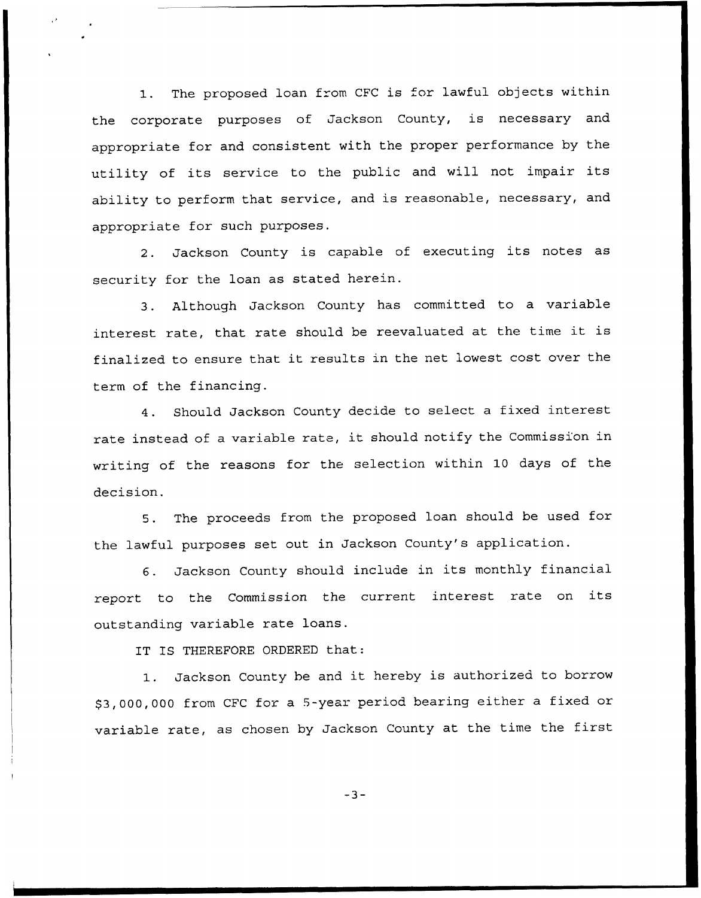1. The proposed loan from CFC is for lawful objects within the corporate purposes of Jackson County, is necessary and appropriate for and consistent with the proper performance by the utility of its service to the public and will not impair its ability to perform that service, and is reasonable, necessary, and appropriate for such purposes.

2. Jackson County is capable of executing its notes as security for the loan as stated herein.

3. Although Jackson County has committed to a variable interest rate, that rate should be reevaluated at the time it is finalized to ensure that it results in the net lowest cost over the term of the financing.

4. Should Jackson County decide to select <sup>a</sup> fixed interest rate instead of <sup>a</sup> variable rate, it should notify the Commission in writing of the reasons for the selection within 10 days of the decision.

5. The proceeds from the proposed loan should be used for the lawful purposes set out in Jackson County's application.

6. Jackson County should include in its monthly financial report to the Commission the current interest rate on its outstanding variable rate loans.

IT IS THEREFORE ORDERED that:

1. Jackson County be and it hereby is authorized to borrow \$3,000,000 from CFC for <sup>a</sup> 5-year period bearing either a fixed or variable rate, as chosen by Jackson County at the time the first

 $-3-$